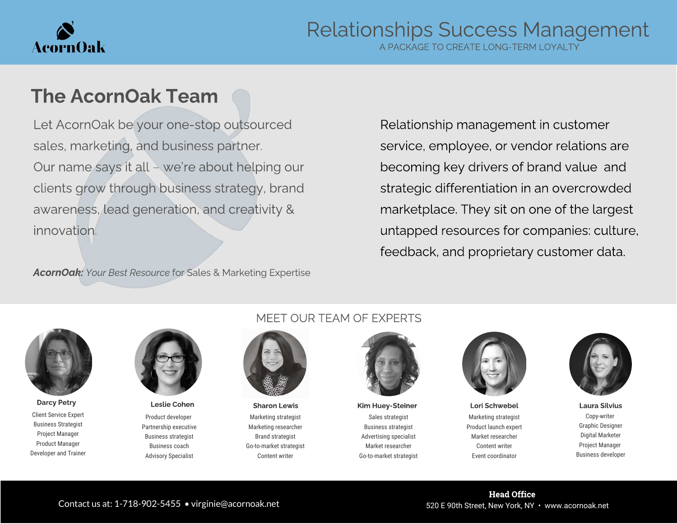

A PACKAGE TO CREATE LONG-TERM LOYALTY

### The AcornOak Team

Let AcornOak be your one-stop outsourced sales, marketing, and business partner. Our name says it all – we're about helping our clients grow through business strategy, brand awareness, lead generation, and creativity & innovation.

Relationship management in customer service, employee, or vendor relations are becoming key drivers of brand value and strategic differentiation in an overcrowded marketplace. They sit on one of the largest untapped resources for companies: culture, feedback, and proprietary customer data.

AcornOak: Your Best Resource for Sales & Marketing Expertise



Client Service Expert Business Strategist Project Manager Product Manager Developer and Trainer



Product developer Partnership executive Business strategist Business coach Advisory Specialist

#### MEET OUR TEAM OF EXPERTS



Marketing strategist Marketing researcher Brand strategist Go-to-market strategist Content writer



Sales strategist Business strategist Advertising specialist Market researcher Go-to-market strategist



Marketing strategist Product launch expert Market researcher Content writer Event coordinator Darcy Petry **Resula Cohen Marcy Petry Connect Access** Leslie Cohen Sharon Lewis Kim Huey-Steiner Lori Schwebel Laura Silvius



Copy-writer Graphic Designer Digital Marketer Project Manager Business developer